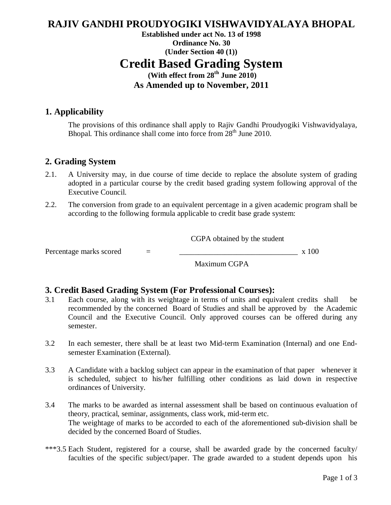# **RAJIV GANDHI PROUDYOGIKI VISHWAVIDYALAYA BHOPAL**

### **Established under act No. 13 of 1998 Ordinance No. 30 (Under Section 40 (1)) Credit Based Grading System (With effect from 28th June 2010) As Amended up to November, 2011**

#### **1. Applicability**

The provisions of this ordinance shall apply to Rajiv Gandhi Proudyogiki Vishwavidyalaya, Bhopal. This ordinance shall come into force from  $28<sup>th</sup>$  June 2010.

#### **2. Grading System**

- 2.1. A University may, in due course of time decide to replace the absolute system of grading adopted in a particular course by the credit based grading system following approval of the Executive Council.
- 2.2. The conversion from grade to an equivalent percentage in a given academic program shall be according to the following formula applicable to credit base grade system:

CGPA obtained by the student

Percentage marks scored  $=$   $\frac{1}{2}$  x 100

Maximum CGPA

#### **3. Credit Based Grading System (For Professional Courses):**

- 3.1 Each course, along with its weightage in terms of units and equivalent credits shall be recommended by the concerned Board of Studies and shall be approved by the Academic Council and the Executive Council. Only approved courses can be offered during any semester.
- 3.2 In each semester, there shall be at least two Mid-term Examination (Internal) and one Endsemester Examination (External).
- 3.3 A Candidate with a backlog subject can appear in the examination of that paper whenever it is scheduled, subject to his/her fulfilling other conditions as laid down in respective ordinances of University.
- 3.4 The marks to be awarded as internal assessment shall be based on continuous evaluation of theory, practical, seminar, assignments, class work, mid-term etc. The weightage of marks to be accorded to each of the aforementioned sub-division shall be decided by the concerned Board of Studies.
- \*\*\*3.5 Each Student, registered for a course, shall be awarded grade by the concerned faculty/ faculties of the specific subject/paper. The grade awarded to a student depends upon his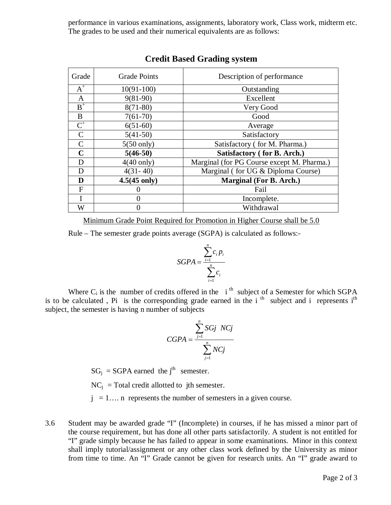performance in various examinations, assignments, laboratory work, Class work, midterm etc. The grades to be used and their numerical equivalents are as follows:

| Grade         | <b>Grade Points</b>    | Description of performance                 |
|---------------|------------------------|--------------------------------------------|
| $A^+$         | $10(91-100)$           | Outstanding                                |
| $\mathbf{A}$  | $9(81-90)$             | Excellent                                  |
| $B^+$         | $8(71-80)$             | Very Good                                  |
| B             | $7(61-70)$             | Good                                       |
| $C^+$         | $6(51-60)$             | Average                                    |
| $\mathcal{C}$ | $5(41-50)$             | Satisfactory                               |
| C             | $5(50 \text{ only})$   | Satisfactory (for M. Pharma.)              |
| $\mathbf C$   | $5(46-50)$             | Satisfactory (for B. Arch.)                |
| D             | $4(40 \text{ only})$   | Marginal (for PG Course except M. Pharma.) |
| D             | $4(31 - 40)$           | Marginal (for UG & Diploma Course)         |
| D             | $4.5(45 \text{ only})$ | Marginal (For B. Arch.)                    |
| F             |                        | Fail                                       |
|               |                        | Incomplete.                                |
| W             |                        | Withdrawal                                 |

#### **Credit Based Grading system**

Minimum Grade Point Required for Promotion in Higher Course shall be 5.0

Rule – The semester grade points average (SGPA) is calculated as follows:-

$$
SGPA = \frac{\sum_{i=1}^{n} c_i p_i}{\sum_{i=1}^{n} c_i}
$$

Where  $C_i$  is the number of credits offered in the  $i^{\text{th}}$  subject of a Semester for which SGPA is to be calculated, Pi is the corresponding grade earned in the i<sup>th</sup> subject and i represents i<sup>th</sup> subject, the semester is having n number of subjects

$$
CGPA = \frac{\sum_{j=1}^{n} SGj NCj}{\sum_{j=1}^{n} NCj}
$$

 $SG_i = SGPA$  earned the j<sup>th</sup> semester.

 $NC_i$  = Total credit allotted to jth semester.

 $j = 1...$  n represents the number of semesters in a given course.

3.6 Student may be awarded grade "I" (Incomplete) in courses, if he has missed a minor part of the course requirement, but has done all other parts satisfactorily. A student is not entitled for "I" grade simply because he has failed to appear in some examinations. Minor in this context shall imply tutorial/assignment or any other class work defined by the University as minor from time to time. An "I" Grade cannot be given for research units. An "I" grade award to